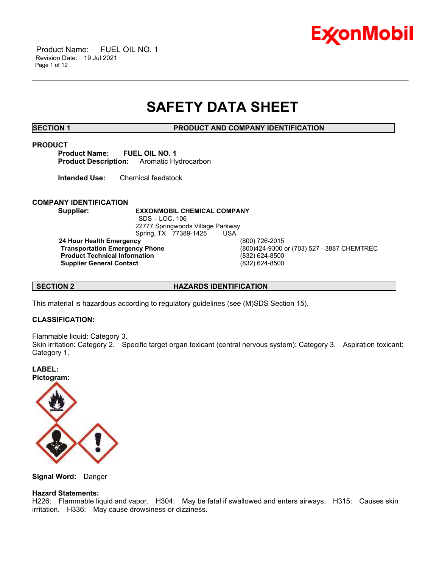

 Product Name: FUEL OIL NO. 1 Revision Date: 19 Jul 2021 Page 1 of 12

## **SAFETY DATA SHEET**

\_\_\_\_\_\_\_\_\_\_\_\_\_\_\_\_\_\_\_\_\_\_\_\_\_\_\_\_\_\_\_\_\_\_\_\_\_\_\_\_\_\_\_\_\_\_\_\_\_\_\_\_\_\_\_\_\_\_\_\_\_\_\_\_\_\_\_\_\_\_\_\_\_\_\_\_\_\_\_\_\_\_\_\_\_\_\_\_\_\_\_\_\_\_\_\_\_\_\_\_\_\_\_\_\_\_\_\_\_\_\_\_\_\_\_\_\_\_

**SECTION 1 PRODUCT AND COMPANY IDENTIFICATION**

#### **PRODUCT**

**Product Name: FUEL OIL NO. 1 Product Description:** Aromatic Hydrocarbon

**Intended Use:** Chemical feedstock

### **COMPANY IDENTIFICATION**

**Supplier: EXXONMOBIL CHEMICAL COMPANY** SDS – LOC. 106 22777 Springwoods Village Parkway Spring, TX 77389-1425 USA

**24 Hour Health Emergency** (800) 726-2015 **Product Technical Information Supplier General Contact** (832) 624-8500

**Transportation Emergency Phone** (800)424-9300 or (703) 527 - 3887 CHEMTREC

### **SECTION 2 HAZARDS IDENTIFICATION**

This material is hazardous according to regulatory guidelines (see (M)SDS Section 15).

### **CLASSIFICATION:**

Flammable liquid: Category 3.

Skin irritation: Category 2. Specific target organ toxicant (central nervous system): Category 3. Aspiration toxicant: Category 1.

**LABEL: Pictogram:**



**Signal Word:** Danger

### **Hazard Statements:**

H226: Flammable liquid and vapor. H304: May be fatal if swallowed and enters airways. H315: Causes skin irritation. H336: May cause drowsiness or dizziness.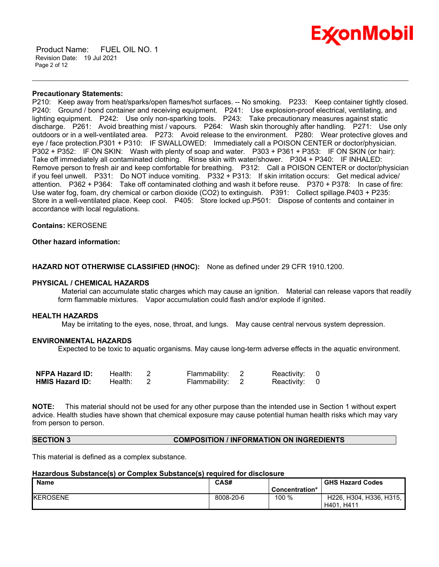

 Product Name: FUEL OIL NO. 1 Revision Date: 19 Jul 2021 Page 2 of 12

#### **Precautionary Statements:**

P210: Keep away from heat/sparks/open flames/hot surfaces. -- No smoking. P233: Keep container tightly closed. P240: Ground / bond container and receiving equipment. P241: Use explosion-proof electrical, ventilating, and lighting equipment. P242: Use only non-sparking tools. P243: Take precautionary measures against static discharge. P261: Avoid breathing mist / vapours. P264: Wash skin thoroughly after handling. P271: Use only outdoors or in a well-ventilated area. P273: Avoid release to the environment. P280: Wear protective gloves and eye / face protection.P301 + P310: IF SWALLOWED: Immediately call a POISON CENTER or doctor/physician. P302 + P352: IF ON SKIN: Wash with plenty of soap and water. P303 + P361 + P353: IF ON SKIN (or hair): Take off immediately all contaminated clothing. Rinse skin with water/shower. P304 + P340: IF INHALED: Remove person to fresh air and keep comfortable for breathing. P312: Call a POISON CENTER or doctor/physician if you feel unwell. P331: Do NOT induce vomiting. P332 + P313: If skin irritation occurs: Get medical advice/ attention. P362 + P364: Take off contaminated clothing and wash it before reuse. P370 + P378: In case of fire: Use water fog, foam, dry chemical or carbon dioxide (CO2) to extinguish. P391: Collect spillage.P403 + P235: Store in a well-ventilated place. Keep cool. P405: Store locked up.P501: Dispose of contents and container in accordance with local regulations.

\_\_\_\_\_\_\_\_\_\_\_\_\_\_\_\_\_\_\_\_\_\_\_\_\_\_\_\_\_\_\_\_\_\_\_\_\_\_\_\_\_\_\_\_\_\_\_\_\_\_\_\_\_\_\_\_\_\_\_\_\_\_\_\_\_\_\_\_\_\_\_\_\_\_\_\_\_\_\_\_\_\_\_\_\_\_\_\_\_\_\_\_\_\_\_\_\_\_\_\_\_\_\_\_\_\_\_\_\_\_\_\_\_\_\_\_\_\_

**Contains:** KEROSENE

### **Other hazard information:**

**HAZARD NOT OTHERWISE CLASSIFIED (HNOC):** None as defined under 29 CFR 1910.1200.

#### **PHYSICAL / CHEMICAL HAZARDS**

Material can accumulate static charges which may cause an ignition. Material can release vapors that readily form flammable mixtures. Vapor accumulation could flash and/or explode if ignited.

#### **HEALTH HAZARDS**

May be irritating to the eyes, nose, throat, and lungs. May cause central nervous system depression.

#### **ENVIRONMENTAL HAZARDS**

Expected to be toxic to aquatic organisms. May cause long-term adverse effects in the aquatic environment.

| <b>NFPA Hazard ID:</b> | Health: | Flammability: 2 | Reactivity: 0 |  |
|------------------------|---------|-----------------|---------------|--|
| <b>HMIS Hazard ID:</b> | Health: | Flammability: 2 | Reactivity: 0 |  |

**NOTE:** This material should not be used for any other purpose than the intended use in Section 1 without expert advice. Health studies have shown that chemical exposure may cause potential human health risks which may vary from person to person.

#### **SECTION 3 COMPOSITION / INFORMATION ON INGREDIENTS**

This material is defined as a complex substance.

#### **Hazardous Substance(s) or Complex Substance(s) required for disclosure**

| <b>Name</b>      | CAS#      |                | <b>GHS Hazard Codes</b> |
|------------------|-----------|----------------|-------------------------|
|                  |           | Concentration* |                         |
| <b>IKEROSENE</b> | 8008-20-6 | 100 %          | H226, H304, H336, H315, |
|                  |           |                | H401, H411              |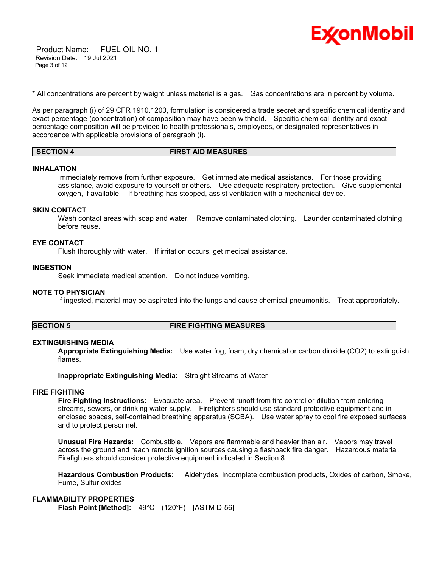

 Product Name: FUEL OIL NO. 1 Revision Date: 19 Jul 2021 Page 3 of 12

\* All concentrations are percent by weight unless material is a gas. Gas concentrations are in percent by volume.

As per paragraph (i) of 29 CFR 1910.1200, formulation is considered a trade secret and specific chemical identity and exact percentage (concentration) of composition may have been withheld. Specific chemical identity and exact percentage composition will be provided to health professionals, employees, or designated representatives in accordance with applicable provisions of paragraph (i).

\_\_\_\_\_\_\_\_\_\_\_\_\_\_\_\_\_\_\_\_\_\_\_\_\_\_\_\_\_\_\_\_\_\_\_\_\_\_\_\_\_\_\_\_\_\_\_\_\_\_\_\_\_\_\_\_\_\_\_\_\_\_\_\_\_\_\_\_\_\_\_\_\_\_\_\_\_\_\_\_\_\_\_\_\_\_\_\_\_\_\_\_\_\_\_\_\_\_\_\_\_\_\_\_\_\_\_\_\_\_\_\_\_\_\_\_\_\_

| SECTION 4 | <b>FIRST AID MEASURES</b> |
|-----------|---------------------------|
|           |                           |

#### **INHALATION**

Immediately remove from further exposure. Get immediate medical assistance. For those providing assistance, avoid exposure to yourself or others. Use adequate respiratory protection. Give supplemental oxygen, if available. If breathing has stopped, assist ventilation with a mechanical device.

#### **SKIN CONTACT**

Wash contact areas with soap and water. Remove contaminated clothing. Launder contaminated clothing before reuse.

#### **EYE CONTACT**

Flush thoroughly with water. If irritation occurs, get medical assistance.

### **INGESTION**

Seek immediate medical attention. Do not induce vomiting.

#### **NOTE TO PHYSICIAN**

If ingested, material may be aspirated into the lungs and cause chemical pneumonitis. Treat appropriately.

#### **SECTION 5 FIRE FIGHTING MEASURES**

### **EXTINGUISHING MEDIA**

**Appropriate Extinguishing Media:** Use water fog, foam, dry chemical or carbon dioxide (CO2) to extinguish flames.

**Inappropriate Extinguishing Media:** Straight Streams of Water

### **FIRE FIGHTING**

**Fire Fighting Instructions:** Evacuate area. Prevent runoff from fire control or dilution from entering streams, sewers, or drinking water supply. Firefighters should use standard protective equipment and in enclosed spaces, self-contained breathing apparatus (SCBA). Use water spray to cool fire exposed surfaces and to protect personnel.

**Unusual Fire Hazards:** Combustible. Vapors are flammable and heavier than air. Vapors may travel across the ground and reach remote ignition sources causing a flashback fire danger. Hazardous material. Firefighters should consider protective equipment indicated in Section 8.

**Hazardous Combustion Products:** Aldehydes, Incomplete combustion products, Oxides of carbon, Smoke, Fume, Sulfur oxides

### **FLAMMABILITY PROPERTIES**

**Flash Point [Method]:** 49°C (120°F) [ASTM D-56]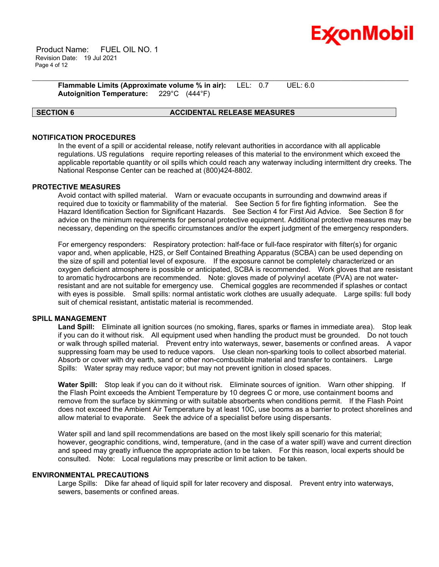

 Product Name: FUEL OIL NO. 1 Revision Date: 19 Jul 2021 Page 4 of 12

> **Flammable Limits (Approximate volume % in air):** LEL: 0.7 UEL: 6.0 **Autoignition Temperature:** 229°C (444°F)

### **SECTION 6 ACCIDENTAL RELEASE MEASURES**

\_\_\_\_\_\_\_\_\_\_\_\_\_\_\_\_\_\_\_\_\_\_\_\_\_\_\_\_\_\_\_\_\_\_\_\_\_\_\_\_\_\_\_\_\_\_\_\_\_\_\_\_\_\_\_\_\_\_\_\_\_\_\_\_\_\_\_\_\_\_\_\_\_\_\_\_\_\_\_\_\_\_\_\_\_\_\_\_\_\_\_\_\_\_\_\_\_\_\_\_\_\_\_\_\_\_\_\_\_\_\_\_\_\_\_\_\_\_

### **NOTIFICATION PROCEDURES**

In the event of a spill or accidental release, notify relevant authorities in accordance with all applicable regulations. US regulations require reporting releases of this material to the environment which exceed the applicable reportable quantity or oil spills which could reach any waterway including intermittent dry creeks. The National Response Center can be reached at (800)424-8802.

#### **PROTECTIVE MEASURES**

Avoid contact with spilled material. Warn or evacuate occupants in surrounding and downwind areas if required due to toxicity or flammability of the material. See Section 5 for fire fighting information. See the Hazard Identification Section for Significant Hazards. See Section 4 for First Aid Advice. See Section 8 for advice on the minimum requirements for personal protective equipment. Additional protective measures may be necessary, depending on the specific circumstances and/or the expert judgment of the emergency responders.

For emergency responders: Respiratory protection: half-face or full-face respirator with filter(s) for organic vapor and, when applicable, H2S, or Self Contained Breathing Apparatus (SCBA) can be used depending on the size of spill and potential level of exposure. If the exposure cannot be completely characterized or an oxygen deficient atmosphere is possible or anticipated, SCBA is recommended. Work gloves that are resistant to aromatic hydrocarbons are recommended. Note: gloves made of polyvinyl acetate (PVA) are not waterresistant and are not suitable for emergency use. Chemical goggles are recommended if splashes or contact with eyes is possible. Small spills: normal antistatic work clothes are usually adequate. Large spills: full body suit of chemical resistant, antistatic material is recommended.

### **SPILL MANAGEMENT**

**Land Spill:** Eliminate all ignition sources (no smoking, flares, sparks or flames in immediate area). Stop leak if you can do it without risk. All equipment used when handling the product must be grounded. Do not touch or walk through spilled material. Prevent entry into waterways, sewer, basements or confined areas. A vapor suppressing foam may be used to reduce vapors. Use clean non-sparking tools to collect absorbed material. Absorb or cover with dry earth, sand or other non-combustible material and transfer to containers. Large Spills: Water spray may reduce vapor; but may not prevent ignition in closed spaces.

**Water Spill:** Stop leak if you can do it without risk. Eliminate sources of ignition. Warn other shipping. If the Flash Point exceeds the Ambient Temperature by 10 degrees C or more, use containment booms and remove from the surface by skimming or with suitable absorbents when conditions permit. If the Flash Point does not exceed the Ambient Air Temperature by at least 10C, use booms as a barrier to protect shorelines and allow material to evaporate. Seek the advice of a specialist before using dispersants.

Water spill and land spill recommendations are based on the most likely spill scenario for this material; however, geographic conditions, wind, temperature, (and in the case of a water spill) wave and current direction and speed may greatly influence the appropriate action to be taken. For this reason, local experts should be consulted. Note: Local regulations may prescribe or limit action to be taken.

#### **ENVIRONMENTAL PRECAUTIONS**

Large Spills: Dike far ahead of liquid spill for later recovery and disposal. Prevent entry into waterways, sewers, basements or confined areas.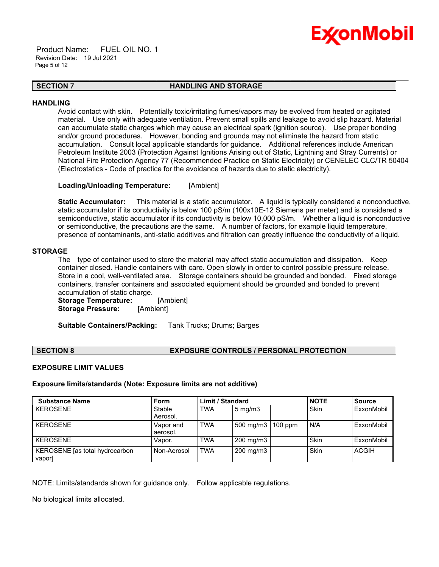

 Product Name: FUEL OIL NO. 1 Revision Date: 19 Jul 2021 Page 5 of 12

#### \_\_\_\_\_\_\_\_\_\_\_\_\_\_\_\_\_\_\_\_\_\_\_\_\_\_\_\_\_\_\_\_\_\_\_\_\_\_\_\_\_\_\_\_\_\_\_\_\_\_\_\_\_\_\_\_\_\_\_\_\_\_\_\_\_\_\_\_\_\_\_\_\_\_\_\_\_\_\_\_\_\_\_\_\_\_\_\_\_\_\_\_\_\_\_\_\_\_\_\_\_\_\_\_\_\_\_\_\_\_\_\_\_\_\_\_\_\_ **SECTION 7 HANDLING AND STORAGE**

#### **HANDLING**

Avoid contact with skin. Potentially toxic/irritating fumes/vapors may be evolved from heated or agitated material. Use only with adequate ventilation. Prevent small spills and leakage to avoid slip hazard. Material can accumulate static charges which may cause an electrical spark (ignition source). Use proper bonding and/or ground procedures. However, bonding and grounds may not eliminate the hazard from static accumulation. Consult local applicable standards for guidance. Additional references include American Petroleum Institute 2003 (Protection Against Ignitions Arising out of Static, Lightning and Stray Currents) or National Fire Protection Agency 77 (Recommended Practice on Static Electricity) or CENELEC CLC/TR 50404 (Electrostatics - Code of practice for the avoidance of hazards due to static electricity).

#### **Loading/Unloading Temperature:** [Ambient]

**Static Accumulator:** This material is a static accumulator. A liquid is typically considered a nonconductive, static accumulator if its conductivity is below 100 pS/m (100x10E-12 Siemens per meter) and is considered a semiconductive, static accumulator if its conductivity is below 10,000 pS/m. Whether a liquid is nonconductive or semiconductive, the precautions are the same. A number of factors, for example liquid temperature, presence of contaminants, anti-static additives and filtration can greatly influence the conductivity of a liquid.

#### **STORAGE**

The type of container used to store the material may affect static accumulation and dissipation. Keep container closed. Handle containers with care. Open slowly in order to control possible pressure release. Store in a cool, well-ventilated area. Storage containers should be grounded and bonded. Fixed storage containers, transfer containers and associated equipment should be grounded and bonded to prevent accumulation of static charge.

**Storage Temperature:** [Ambient] **Storage Pressure:** [Ambient]

**Suitable Containers/Packing:** Tank Trucks; Drums; Barges

### **SECTION 8 EXPOSURE CONTROLS / PERSONAL PROTECTION**

#### **EXPOSURE LIMIT VALUES**

#### **Exposure limits/standards (Note: Exposure limits are not additive)**

| <b>Substance Name</b>          | <b>Form</b> | <b>Limit / Standard</b> |                           | <b>NOTE</b> | <b>Source</b> |              |
|--------------------------------|-------------|-------------------------|---------------------------|-------------|---------------|--------------|
| <b>KEROSENE</b>                | Stable      | <b>TWA</b>              | $5 \text{ mg/m}$          |             | <b>Skin</b>   | ExxonMobil   |
|                                | Aerosol.    |                         |                           |             |               |              |
| <b>KEROSENE</b>                | Vapor and   | <b>TWA</b>              | 500 mg/m $3 \mid 100$ ppm |             | N/A           | ExxonMobil   |
|                                | aerosol.    |                         |                           |             |               |              |
| <b>KEROSENE</b>                | Vapor.      | <b>TWA</b>              | 200 mg/m3                 |             | Skin          | ExxonMobil   |
| KEROSENE [as total hydrocarbon | Non-Aerosol | <b>TWA</b>              | 200 mg/m3                 |             | Skin          | <b>ACGIH</b> |
| vapor]                         |             |                         |                           |             |               |              |

NOTE: Limits/standards shown for guidance only. Follow applicable regulations.

No biological limits allocated.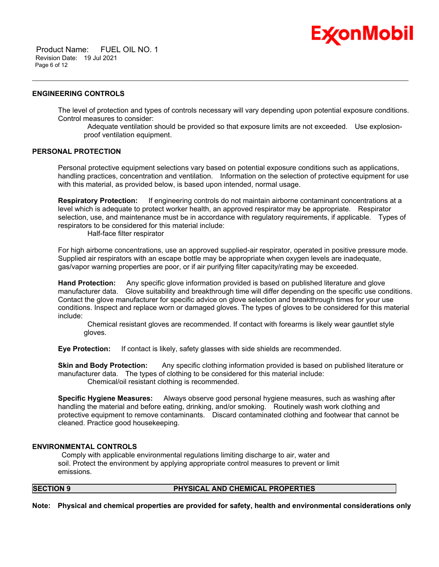Product Name: FUEL OIL NO. 1 Revision Date: 19 Jul 2021 Page 6 of 12

#### **ENGINEERING CONTROLS**

The level of protection and types of controls necessary will vary depending upon potential exposure conditions. Control measures to consider:

\_\_\_\_\_\_\_\_\_\_\_\_\_\_\_\_\_\_\_\_\_\_\_\_\_\_\_\_\_\_\_\_\_\_\_\_\_\_\_\_\_\_\_\_\_\_\_\_\_\_\_\_\_\_\_\_\_\_\_\_\_\_\_\_\_\_\_\_\_\_\_\_\_\_\_\_\_\_\_\_\_\_\_\_\_\_\_\_\_\_\_\_\_\_\_\_\_\_\_\_\_\_\_\_\_\_\_\_\_\_\_\_\_\_\_\_\_\_

Adequate ventilation should be provided so that exposure limits are not exceeded. Use explosionproof ventilation equipment.

Ex⁄onMobil

#### **PERSONAL PROTECTION**

Personal protective equipment selections vary based on potential exposure conditions such as applications, handling practices, concentration and ventilation. Information on the selection of protective equipment for use with this material, as provided below, is based upon intended, normal usage.

**Respiratory Protection:** If engineering controls do not maintain airborne contaminant concentrations at a level which is adequate to protect worker health, an approved respirator may be appropriate. Respirator selection, use, and maintenance must be in accordance with regulatory requirements, if applicable. Types of respirators to be considered for this material include:

Half-face filter respirator

For high airborne concentrations, use an approved supplied-air respirator, operated in positive pressure mode. Supplied air respirators with an escape bottle may be appropriate when oxygen levels are inadequate, gas/vapor warning properties are poor, or if air purifying filter capacity/rating may be exceeded.

**Hand Protection:** Any specific glove information provided is based on published literature and glove manufacturer data. Glove suitability and breakthrough time will differ depending on the specific use conditions. Contact the glove manufacturer for specific advice on glove selection and breakthrough times for your use conditions. Inspect and replace worn or damaged gloves. The types of gloves to be considered for this material include:

Chemical resistant gloves are recommended. If contact with forearms is likely wear gauntlet style gloves.

**Eye Protection:** If contact is likely, safety glasses with side shields are recommended.

**Skin and Body Protection:** Any specific clothing information provided is based on published literature or manufacturer data. The types of clothing to be considered for this material include: Chemical/oil resistant clothing is recommended.

**Specific Hygiene Measures:** Always observe good personal hygiene measures, such as washing after handling the material and before eating, drinking, and/or smoking. Routinely wash work clothing and protective equipment to remove contaminants. Discard contaminated clothing and footwear that cannot be cleaned. Practice good housekeeping.

#### **ENVIRONMENTAL CONTROLS**

Comply with applicable environmental regulations limiting discharge to air, water and soil. Protect the environment by applying appropriate control measures to prevent or limit emissions.

### **SECTION 9 PHYSICAL AND CHEMICAL PROPERTIES**

**Note: Physical and chemical properties are provided for safety, health and environmental considerations only**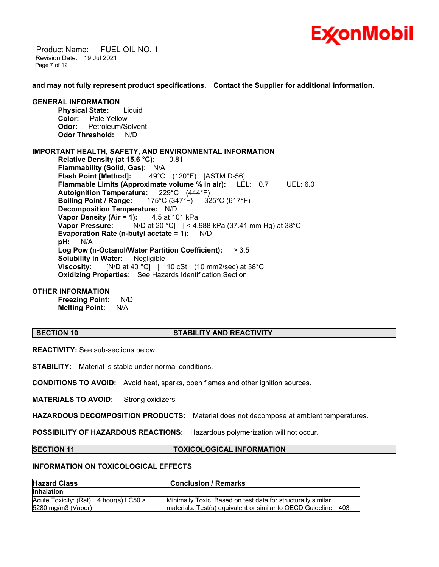

 Product Name: FUEL OIL NO. 1 Revision Date: 19 Jul 2021 Page 7 of 12

**and may not fully represent product specifications. Contact the Supplier for additional information.**

\_\_\_\_\_\_\_\_\_\_\_\_\_\_\_\_\_\_\_\_\_\_\_\_\_\_\_\_\_\_\_\_\_\_\_\_\_\_\_\_\_\_\_\_\_\_\_\_\_\_\_\_\_\_\_\_\_\_\_\_\_\_\_\_\_\_\_\_\_\_\_\_\_\_\_\_\_\_\_\_\_\_\_\_\_\_\_\_\_\_\_\_\_\_\_\_\_\_\_\_\_\_\_\_\_\_\_\_\_\_\_\_\_\_\_\_\_\_

#### **GENERAL INFORMATION**

**Physical State:** Liquid **Color:** Pale Yellow **Odor:** Petroleum/Solvent **Odor Threshold:** N/D

### **IMPORTANT HEALTH, SAFETY, AND ENVIRONMENTAL INFORMATION**

**Relative Density (at 15.6 °C):** 0.81 **Flammability (Solid, Gas):** N/A **Flash Point [Method]:** 49°C (120°F) [ASTM D-56] **Flammable Limits (Approximate volume % in air):** LEL: 0.7 UEL: 6.0 **Autoignition Temperature:** 229°C (444°F) **Boiling Point / Range:** 175°C (347°F) - 325°C (617°F) **Decomposition Temperature:** N/D **Vapor Density (Air = 1):** 4.5 at 101 kPa **Vapor Pressure:** [N/D at 20 °C] | < 4.988 kPa (37.41 mm Hg) at 38°C **Evaporation Rate (n-butyl acetate = 1):** N/D **pH:** N/A **Log Pow (n-Octanol/Water Partition Coefficient):** > 3.5 **Solubility in Water:** Negligible **Viscosity:** [N/D at 40 °C] | 10 cSt (10 mm2/sec) at 38 °C **Oxidizing Properties:** See Hazards Identification Section.

### **OTHER INFORMATION**

**Freezing Point:** N/D **Melting Point:** N/A

#### **SECTION 10 STABILITY AND REACTIVITY**

**REACTIVITY:** See sub-sections below.

**STABILITY:** Material is stable under normal conditions.

**CONDITIONS TO AVOID:** Avoid heat, sparks, open flames and other ignition sources.

**MATERIALS TO AVOID:** Strong oxidizers

**HAZARDOUS DECOMPOSITION PRODUCTS:** Material does not decompose at ambient temperatures.

**POSSIBILITY OF HAZARDOUS REACTIONS:** Hazardous polymerization will not occur.

#### **SECTION 11 TOXICOLOGICAL INFORMATION**

### **INFORMATION ON TOXICOLOGICAL EFFECTS**

| <b>Hazard Class</b>                                            | <b>Conclusion / Remarks</b>                                                                                                    |
|----------------------------------------------------------------|--------------------------------------------------------------------------------------------------------------------------------|
| <b>Inhalation</b>                                              |                                                                                                                                |
| Acute Toxicity: $(Rat)$ 4 hour(s) LC50 ><br>5280 mg/m3 (Vapor) | Minimally Toxic. Based on test data for structurally similar<br>materials. Test(s) equivalent or similar to OECD Guideline 403 |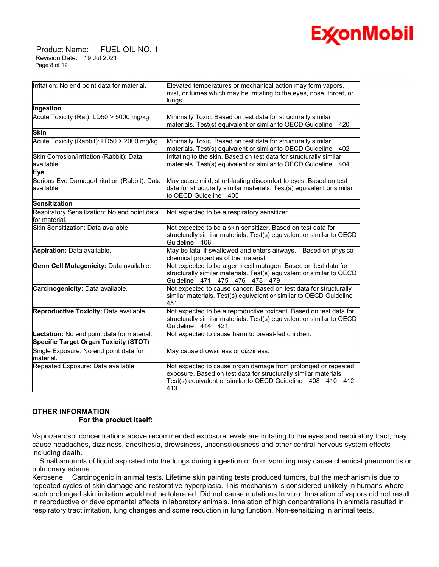

 Product Name: FUEL OIL NO. 1 Revision Date: 19 Jul 2021 Page 8 of 12

| Irritation: No end point data for material.                   | Elevated temperatures or mechanical action may form vapors,<br>mist, or fumes which may be irritating to the eyes, nose, throat, or<br>lungs.                                                           |
|---------------------------------------------------------------|---------------------------------------------------------------------------------------------------------------------------------------------------------------------------------------------------------|
| Ingestion                                                     |                                                                                                                                                                                                         |
| Acute Toxicity (Rat): LD50 > 5000 mg/kg                       | Minimally Toxic. Based on test data for structurally similar<br>materials. Test(s) equivalent or similar to OECD Guideline<br>420                                                                       |
| <b>Skin</b>                                                   |                                                                                                                                                                                                         |
| Acute Toxicity (Rabbit): LD50 > 2000 mg/kg                    | Minimally Toxic. Based on test data for structurally similar<br>materials. Test(s) equivalent or similar to OECD Guideline<br>402                                                                       |
| Skin Corrosion/Irritation (Rabbit): Data<br>available.        | Irritating to the skin. Based on test data for structurally similar<br>materials. Test(s) equivalent or similar to OECD Guideline<br>404                                                                |
| <b>Eye</b>                                                    |                                                                                                                                                                                                         |
| Serious Eye Damage/Irritation (Rabbit): Data<br>lavailable.   | May cause mild, short-lasting discomfort to eyes. Based on test<br>data for structurally similar materials. Test(s) equivalent or similar<br>to OECD Guideline<br>405                                   |
| Sensitization                                                 |                                                                                                                                                                                                         |
| Respiratory Sensitization: No end point data<br>for material. | Not expected to be a respiratory sensitizer.                                                                                                                                                            |
| Skin Sensitization: Data available.                           | Not expected to be a skin sensitizer. Based on test data for<br>structurally similar materials. Test(s) equivalent or similar to OECD<br>Guideline 406                                                  |
| Aspiration: Data available.                                   | May be fatal if swallowed and enters airways. Based on physico-<br>chemical properties of the material.                                                                                                 |
| Germ Cell Mutagenicity: Data available.                       | Not expected to be a germ cell mutagen. Based on test data for<br>structurally similar materials. Test(s) equivalent or similar to OECD<br>Guideline 471 475 476 478 479                                |
| Carcinogenicity: Data available.                              | Not expected to cause cancer. Based on test data for structurally<br>similar materials. Test(s) equivalent or similar to OECD Guideline<br>451                                                          |
| Reproductive Toxicity: Data available.                        | Not expected to be a reproductive toxicant. Based on test data for<br>structurally similar materials. Test(s) equivalent or similar to OECD<br>Guideline 414 421                                        |
| Lactation: No end point data for material.                    | Not expected to cause harm to breast-fed children.                                                                                                                                                      |
| Specific Target Organ Toxicity (STOT)                         |                                                                                                                                                                                                         |
| Single Exposure: No end point data for<br>lmaterial.          | May cause drowsiness or dizziness.                                                                                                                                                                      |
| Repeated Exposure: Data available.                            | Not expected to cause organ damage from prolonged or repeated<br>exposure. Based on test data for structurally similar materials.<br>Test(s) equivalent or similar to OECD Guideline 408 410 412<br>413 |

### **OTHER INFORMATION**

 **For the product itself:** 

Vapor/aerosol concentrations above recommended exposure levels are irritating to the eyes and respiratory tract, may cause headaches, dizziness, anesthesia, drowsiness, unconsciousness and other central nervous system effects including death.

 Small amounts of liquid aspirated into the lungs during ingestion or from vomiting may cause chemical pneumonitis or pulmonary edema.

Kerosene: Carcinogenic in animal tests. Lifetime skin painting tests produced tumors, but the mechanism is due to repeated cycles of skin damage and restorative hyperplasia. This mechanism is considered unlikely in humans where such prolonged skin irritation would not be tolerated. Did not cause mutations In vitro. Inhalation of vapors did not result in reproductive or developmental effects in laboratory animals. Inhalation of high concentrations in animals resulted in respiratory tract irritation, lung changes and some reduction in lung function. Non-sensitizing in animal tests.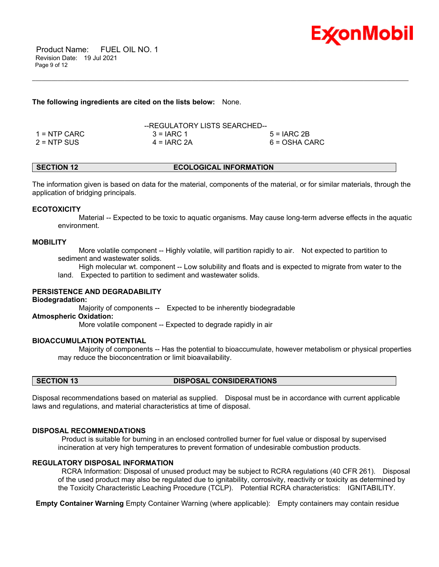

 Product Name: FUEL OIL NO. 1 Revision Date: 19 Jul 2021 Page 9 of 12

#### **The following ingredients are cited on the lists below:** None.

|                | --REGULATORY LISTS SEARCHED-- |               |
|----------------|-------------------------------|---------------|
| $1 =$ NTP CARC | $3 = IARC 1$                  | $5 = IARC2B$  |
| $2 = NTP$ SUS  | $4 = IARC 2A$                 | 6 = OSHA CARC |

### **SECTION 12 ECOLOGICAL INFORMATION**

\_\_\_\_\_\_\_\_\_\_\_\_\_\_\_\_\_\_\_\_\_\_\_\_\_\_\_\_\_\_\_\_\_\_\_\_\_\_\_\_\_\_\_\_\_\_\_\_\_\_\_\_\_\_\_\_\_\_\_\_\_\_\_\_\_\_\_\_\_\_\_\_\_\_\_\_\_\_\_\_\_\_\_\_\_\_\_\_\_\_\_\_\_\_\_\_\_\_\_\_\_\_\_\_\_\_\_\_\_\_\_\_\_\_\_\_\_\_

The information given is based on data for the material, components of the material, or for similar materials, through the application of bridging principals.

#### **ECOTOXICITY**

 Material -- Expected to be toxic to aquatic organisms. May cause long-term adverse effects in the aquatic environment.

#### **MOBILITY**

 More volatile component -- Highly volatile, will partition rapidly to air. Not expected to partition to sediment and wastewater solids.

High molecular wt. component -- Low solubility and floats and is expected to migrate from water to the

land. Expected to partition to sediment and wastewater solids.

### **PERSISTENCE AND DEGRADABILITY**

#### **Biodegradation:**

Majority of components -- Expected to be inherently biodegradable

#### **Atmospheric Oxidation:**

More volatile component -- Expected to degrade rapidly in air

#### **BIOACCUMULATION POTENTIAL**

 Majority of components -- Has the potential to bioaccumulate, however metabolism or physical properties may reduce the bioconcentration or limit bioavailability.

#### **SECTION 13 DISPOSAL CONSIDERATIONS**

Disposal recommendations based on material as supplied. Disposal must be in accordance with current applicable laws and regulations, and material characteristics at time of disposal.

#### **DISPOSAL RECOMMENDATIONS**

Product is suitable for burning in an enclosed controlled burner for fuel value or disposal by supervised incineration at very high temperatures to prevent formation of undesirable combustion products.

#### **REGULATORY DISPOSAL INFORMATION**

RCRA Information: Disposal of unused product may be subject to RCRA regulations (40 CFR 261). Disposal of the used product may also be regulated due to ignitability, corrosivity, reactivity or toxicity as determined by the Toxicity Characteristic Leaching Procedure (TCLP). Potential RCRA characteristics: IGNITABILITY.

**Empty Container Warning** Empty Container Warning (where applicable): Empty containers may contain residue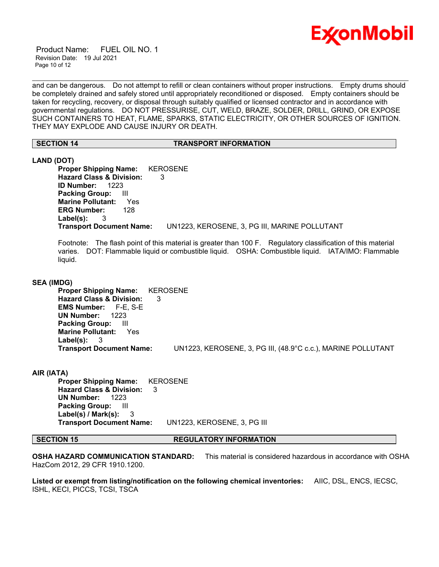

 Product Name: FUEL OIL NO. 1 Revision Date: 19 Jul 2021 Page 10 of 12

and can be dangerous. Do not attempt to refill or clean containers without proper instructions. Empty drums should be completely drained and safely stored until appropriately reconditioned or disposed. Empty containers should be taken for recycling, recovery, or disposal through suitably qualified or licensed contractor and in accordance with governmental regulations. DO NOT PRESSURISE, CUT, WELD, BRAZE, SOLDER, DRILL, GRIND, OR EXPOSE SUCH CONTAINERS TO HEAT, FLAME, SPARKS, STATIC ELECTRICITY, OR OTHER SOURCES OF IGNITION. THEY MAY EXPLODE AND CAUSE INJURY OR DEATH.

\_\_\_\_\_\_\_\_\_\_\_\_\_\_\_\_\_\_\_\_\_\_\_\_\_\_\_\_\_\_\_\_\_\_\_\_\_\_\_\_\_\_\_\_\_\_\_\_\_\_\_\_\_\_\_\_\_\_\_\_\_\_\_\_\_\_\_\_\_\_\_\_\_\_\_\_\_\_\_\_\_\_\_\_\_\_\_\_\_\_\_\_\_\_\_\_\_\_\_\_\_\_\_\_\_\_\_\_\_\_\_\_\_\_\_\_\_\_

#### **SECTION 14 TRANSPORT INFORMATION**

#### **LAND (DOT)**

**Proper Shipping Name:** KEROSENE **Hazard Class & Division:** 3 **ID Number:** 1223 **Packing Group:** III **Marine Pollutant:** Yes **ERG Number:** 128 **Label(s):** 3 **Transport Document Name:** UN1223, KEROSENE, 3, PG III, MARINE POLLUTANT

Footnote: The flash point of this material is greater than 100 F. Regulatory classification of this material varies. DOT: Flammable liquid or combustible liquid. OSHA: Combustible liquid. IATA/IMO: Flammable liquid.

#### **SEA (IMDG)**

**Proper Shipping Name:** KEROSENE **Hazard Class & Division:** 3 **EMS Number:** F-E, S-E **UN Number:** 1223 **Packing Group:** III **Marine Pollutant:** Yes **Label(s):** 3 **Transport Document Name:** UN1223, KEROSENE, 3, PG III, (48.9°C c.c.), MARINE POLLUTANT

#### **AIR (IATA)**

**Proper Shipping Name:** KEROSENE **Hazard Class & Division:** 3 **UN Number:** 1223 **Packing Group:** III **Label(s) / Mark(s):** 3 **Transport Document Name:** UN1223, KEROSENE, 3, PG III

#### **SECTION 15 REGULATORY INFORMATION**

**OSHA HAZARD COMMUNICATION STANDARD:** This material is considered hazardous in accordance with OSHA HazCom 2012, 29 CFR 1910.1200.

**Listed or exempt from listing/notification on the following chemical inventories:** AIIC, DSL, ENCS, IECSC, ISHL, KECI, PICCS, TCSI, TSCA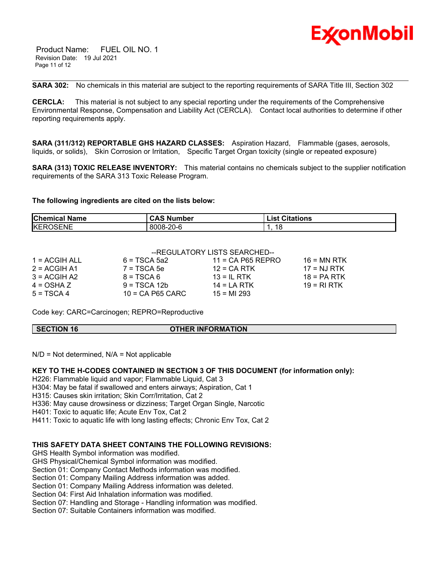

 Product Name: FUEL OIL NO. 1 Revision Date: 19 Jul 2021 Page 11 of 12

**SARA 302:** No chemicals in this material are subject to the reporting requirements of SARA Title III, Section 302

\_\_\_\_\_\_\_\_\_\_\_\_\_\_\_\_\_\_\_\_\_\_\_\_\_\_\_\_\_\_\_\_\_\_\_\_\_\_\_\_\_\_\_\_\_\_\_\_\_\_\_\_\_\_\_\_\_\_\_\_\_\_\_\_\_\_\_\_\_\_\_\_\_\_\_\_\_\_\_\_\_\_\_\_\_\_\_\_\_\_\_\_\_\_\_\_\_\_\_\_\_\_\_\_\_\_\_\_\_\_\_\_\_\_\_\_\_\_

**CERCLA:** This material is not subject to any special reporting under the requirements of the Comprehensive Environmental Response, Compensation and Liability Act (CERCLA). Contact local authorities to determine if other reporting requirements apply.

**SARA (311/312) REPORTABLE GHS HAZARD CLASSES:** Aspiration Hazard, Flammable (gases, aerosols, liquids, or solids), Skin Corrosion or Irritation, Specific Target Organ toxicity (single or repeated exposure)

**SARA (313) TOXIC RELEASE INVENTORY:** This material contains no chemicals subject to the supplier notification requirements of the SARA 313 Toxic Release Program.

#### **The following ingredients are cited on the lists below:**

| <b>Chemical Name</b> | <b>CAS Number</b> | <b>List Citations</b> |
|----------------------|-------------------|-----------------------|
| <b>KEROSENE</b>      | 8008-20-6         | 18                    |

|                 |                    | --REGULATORY LISTS SEARCHED-- |               |
|-----------------|--------------------|-------------------------------|---------------|
| $1 = ACGIH ALL$ | $6 = TSCA 5a2$     | $11 = CA$ P65 REPRO           | $16 = MN$ RTK |
| $2 = ACGIH A1$  | $7 = TSCA5e$       | $12 = CA$ RTK                 | $17 = NJ RTK$ |
| $3 = ACGH A2$   | $8 = TSCA6$        | $13 = IL$ RTK                 | $18 = PA RTK$ |
| $4 = OSHA Z$    | $9 = TSCA 12b$     | $14 = LA RTK$                 | $19 = RIRTK$  |
| $5 = TSCA4$     | $10 = CA$ P65 CARC | $15 = M1 293$                 |               |

Code key: CARC=Carcinogen; REPRO=Reproductive

**SECTION 16 OTHER INFORMATION**

 $N/D = Not determined$ ,  $N/A = Not applicable$ 

**KEY TO THE H-CODES CONTAINED IN SECTION 3 OF THIS DOCUMENT (for information only):**

H226: Flammable liquid and vapor; Flammable Liquid, Cat 3

H304: May be fatal if swallowed and enters airways; Aspiration, Cat 1

H315: Causes skin irritation; Skin Corr/Irritation, Cat 2

H336: May cause drowsiness or dizziness; Target Organ Single, Narcotic

H401: Toxic to aquatic life; Acute Env Tox, Cat 2

H411: Toxic to aquatic life with long lasting effects; Chronic Env Tox, Cat 2

### **THIS SAFETY DATA SHEET CONTAINS THE FOLLOWING REVISIONS:**

GHS Health Symbol information was modified.

GHS Physical/Chemical Symbol information was modified.

Section 01: Company Contact Methods information was modified.

Section 01: Company Mailing Address information was added.

Section 01: Company Mailing Address information was deleted.

Section 04: First Aid Inhalation information was modified.

Section 07: Handling and Storage - Handling information was modified.

Section 07: Suitable Containers information was modified.